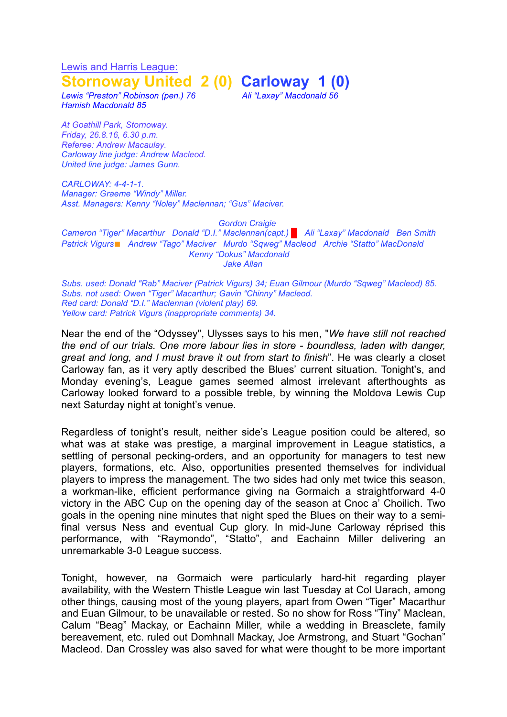Lewis and Harris League: **Stornoway United 2 (0) Carloway 1 (0)**

*Lewis "Preston" Robinson (pen.) 76 Ali "Laxay" Macdonald 56 Hamish Macdonald 85*

*At Goathill Park, Stornoway. Friday, 26.8.16, 6.30 p.m. Referee: Andrew Macaulay. Carloway line judge: Andrew Macleod. United line judge: James Gunn.*

*CARLOWAY: 4-4-1-1. Manager: Graeme "Windy" Miller. Asst. Managers: Kenny "Noley" Maclennan; "Gus" Maciver.*

## *Gordon Craigie*

*Cameron "Tiger" Macarthur Donald "D.I." Maclennan(capt.) █ Ali "Laxay" Macdonald Ben Smith Patrick Vigurs*◼ *Andrew "Tago" Maciver Murdo "Sqweg" Macleod Archie "Statto" MacDonald Kenny "Dokus" Macdonald Jake Allan*

*Subs. used: Donald "Rab" Maciver (Patrick Vigurs) 34; Euan Gilmour (Murdo "Sqweg" Macleod) 85. Subs. not used: Owen "Tiger" Macarthur; Gavin "Chinny" Macleod. Red card: Donald "D.I." Maclennan (violent play) 69. Yellow card: Patrick Vigurs (inappropriate comments) 34.*

Near the end of the "Odyssey", Ulysses says to his men, "*We have still not reached the end of our trials. One more labour lies in store - boundless, laden with danger, great and long, and I must brave it out from start to finish*". He was clearly a closet Carloway fan, as it very aptly described the Blues' current situation. Tonight's, and Monday evening's, League games seemed almost irrelevant afterthoughts as Carloway looked forward to a possible treble, by winning the Moldova Lewis Cup next Saturday night at tonight's venue.

Regardless of tonight's result, neither side's League position could be altered, so what was at stake was prestige, a marginal improvement in League statistics, a settling of personal pecking-orders, and an opportunity for managers to test new players, formations, etc. Also, opportunities presented themselves for individual players to impress the management. The two sides had only met twice this season, a workman-like, efficient performance giving na Gormaich a straightforward 4-0 victory in the ABC Cup on the opening day of the season at Cnoc a' Choilich. Two goals in the opening nine minutes that night sped the Blues on their way to a semifinal versus Ness and eventual Cup glory. In mid-June Carloway réprised this performance, with "Raymondo", "Statto", and Eachainn Miller delivering an unremarkable 3-0 League success.

Tonight, however, na Gormaich were particularly hard-hit regarding player availability, with the Western Thistle League win last Tuesday at Col Uarach, among other things, causing most of the young players, apart from Owen "Tiger" Macarthur and Euan Gilmour, to be unavailable or rested. So no show for Ross "Tiny" Maclean, Calum "Beag" Mackay, or Eachainn Miller, while a wedding in Breasclete, family bereavement, etc. ruled out Domhnall Mackay, Joe Armstrong, and Stuart "Gochan" Macleod. Dan Crossley was also saved for what were thought to be more important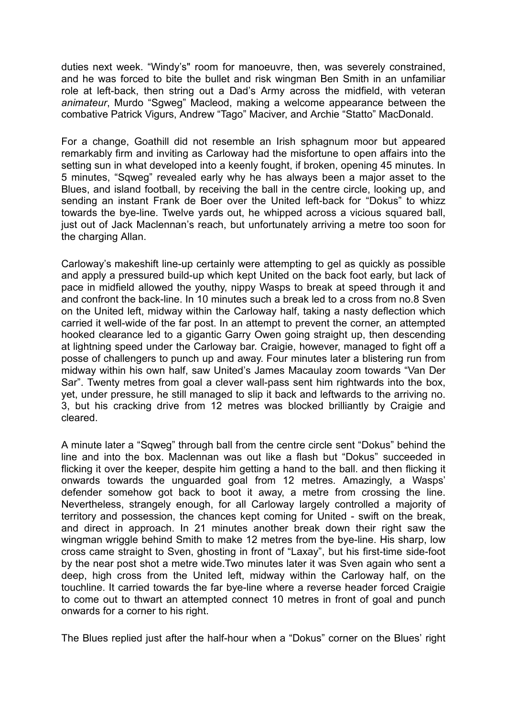duties next week. "Windy's" room for manoeuvre, then, was severely constrained, and he was forced to bite the bullet and risk wingman Ben Smith in an unfamiliar role at left-back, then string out a Dad's Army across the midfield, with veteran *animateur*, Murdo "Sgweg" Macleod, making a welcome appearance between the combative Patrick Vigurs, Andrew "Tago" Maciver, and Archie "Statto" MacDonald.

For a change, Goathill did not resemble an Irish sphagnum moor but appeared remarkably firm and inviting as Carloway had the misfortune to open affairs into the setting sun in what developed into a keenly fought, if broken, opening 45 minutes. In 5 minutes, "Sqweg" revealed early why he has always been a major asset to the Blues, and island football, by receiving the ball in the centre circle, looking up, and sending an instant Frank de Boer over the United left-back for "Dokus" to whizz towards the bye-line. Twelve yards out, he whipped across a vicious squared ball, just out of Jack Maclennan's reach, but unfortunately arriving a metre too soon for the charging Allan.

Carloway's makeshift line-up certainly were attempting to gel as quickly as possible and apply a pressured build-up which kept United on the back foot early, but lack of pace in midfield allowed the youthy, nippy Wasps to break at speed through it and and confront the back-line. In 10 minutes such a break led to a cross from no.8 Sven on the United left, midway within the Carloway half, taking a nasty deflection which carried it well-wide of the far post. In an attempt to prevent the corner, an attempted hooked clearance led to a gigantic Garry Owen going straight up, then descending at lightning speed under the Carloway bar. Craigie, however, managed to fight off a posse of challengers to punch up and away. Four minutes later a blistering run from midway within his own half, saw United's James Macaulay zoom towards "Van Der Sar". Twenty metres from goal a clever wall-pass sent him rightwards into the box, yet, under pressure, he still managed to slip it back and leftwards to the arriving no. 3, but his cracking drive from 12 metres was blocked brilliantly by Craigie and cleared.

A minute later a "Sqweg" through ball from the centre circle sent "Dokus" behind the line and into the box. Maclennan was out like a flash but "Dokus" succeeded in flicking it over the keeper, despite him getting a hand to the ball. and then flicking it onwards towards the unguarded goal from 12 metres. Amazingly, a Wasps' defender somehow got back to boot it away, a metre from crossing the line. Nevertheless, strangely enough, for all Carloway largely controlled a majority of territory and possession, the chances kept coming for United - swift on the break, and direct in approach. In 21 minutes another break down their right saw the wingman wriggle behind Smith to make 12 metres from the bye-line. His sharp, low cross came straight to Sven, ghosting in front of "Laxay", but his first-time side-foot by the near post shot a metre wide.Two minutes later it was Sven again who sent a deep, high cross from the United left, midway within the Carloway half, on the touchline. It carried towards the far bye-line where a reverse header forced Craigie to come out to thwart an attempted connect 10 metres in front of goal and punch onwards for a corner to his right.

The Blues replied just after the half-hour when a "Dokus" corner on the Blues' right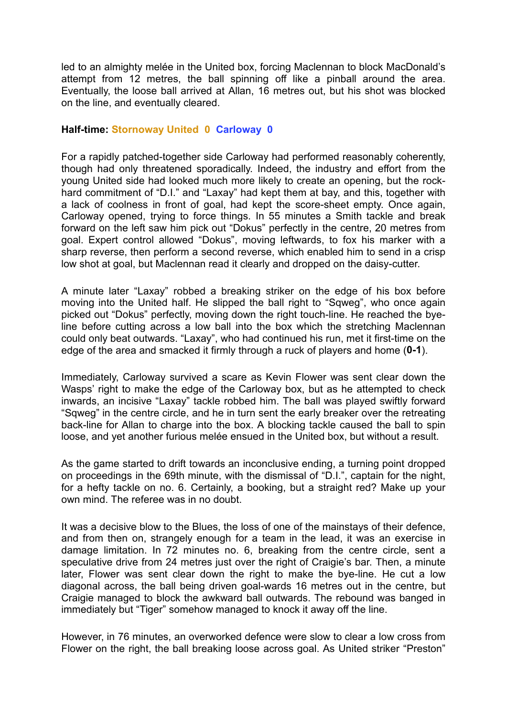led to an almighty melée in the United box, forcing Maclennan to block MacDonald's attempt from 12 metres, the ball spinning off like a pinball around the area. Eventually, the loose ball arrived at Allan, 16 metres out, but his shot was blocked on the line, and eventually cleared.

## **Half-time: Stornoway United 0 Carloway 0**

For a rapidly patched-together side Carloway had performed reasonably coherently, though had only threatened sporadically. Indeed, the industry and effort from the young United side had looked much more likely to create an opening, but the rockhard commitment of "D.I." and "Laxay" had kept them at bay, and this, together with a lack of coolness in front of goal, had kept the score-sheet empty. Once again, Carloway opened, trying to force things. In 55 minutes a Smith tackle and break forward on the left saw him pick out "Dokus" perfectly in the centre, 20 metres from goal. Expert control allowed "Dokus", moving leftwards, to fox his marker with a sharp reverse, then perform a second reverse, which enabled him to send in a crisp low shot at goal, but Maclennan read it clearly and dropped on the daisy-cutter.

A minute later "Laxay" robbed a breaking striker on the edge of his box before moving into the United half. He slipped the ball right to "Sqweg", who once again picked out "Dokus" perfectly, moving down the right touch-line. He reached the byeline before cutting across a low ball into the box which the stretching Maclennan could only beat outwards. "Laxay", who had continued his run, met it first-time on the edge of the area and smacked it firmly through a ruck of players and home (**0-1**).

Immediately, Carloway survived a scare as Kevin Flower was sent clear down the Wasps' right to make the edge of the Carloway box, but as he attempted to check inwards, an incisive "Laxay" tackle robbed him. The ball was played swiftly forward "Sqweg" in the centre circle, and he in turn sent the early breaker over the retreating back-line for Allan to charge into the box. A blocking tackle caused the ball to spin loose, and yet another furious melée ensued in the United box, but without a result.

As the game started to drift towards an inconclusive ending, a turning point dropped on proceedings in the 69th minute, with the dismissal of "D.I.", captain for the night, for a hefty tackle on no. 6. Certainly, a booking, but a straight red? Make up your own mind. The referee was in no doubt.

It was a decisive blow to the Blues, the loss of one of the mainstays of their defence, and from then on, strangely enough for a team in the lead, it was an exercise in damage limitation. In 72 minutes no. 6, breaking from the centre circle, sent a speculative drive from 24 metres just over the right of Craigie's bar. Then, a minute later, Flower was sent clear down the right to make the bye-line. He cut a low diagonal across, the ball being driven goal-wards 16 metres out in the centre, but Craigie managed to block the awkward ball outwards. The rebound was banged in immediately but "Tiger" somehow managed to knock it away off the line.

However, in 76 minutes, an overworked defence were slow to clear a low cross from Flower on the right, the ball breaking loose across goal. As United striker "Preston"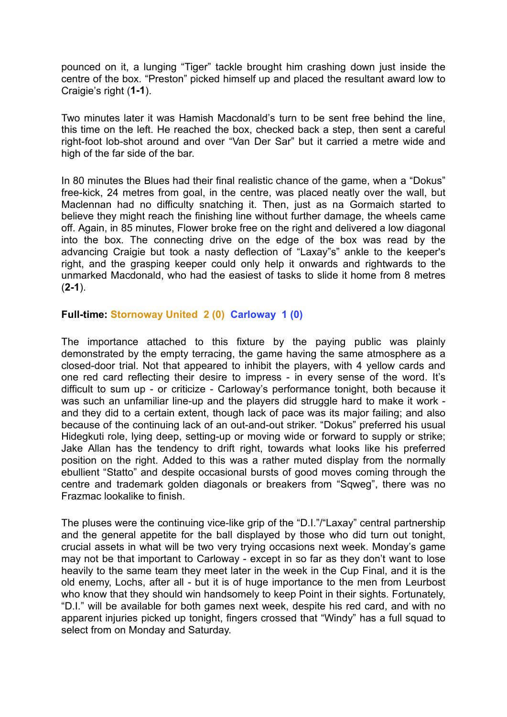pounced on it, a lunging "Tiger" tackle brought him crashing down just inside the centre of the box. "Preston" picked himself up and placed the resultant award low to Craigie's right (**1-1**).

Two minutes later it was Hamish Macdonald's turn to be sent free behind the line, this time on the left. He reached the box, checked back a step, then sent a careful right-foot lob-shot around and over "Van Der Sar" but it carried a metre wide and high of the far side of the bar.

In 80 minutes the Blues had their final realistic chance of the game, when a "Dokus" free-kick, 24 metres from goal, in the centre, was placed neatly over the wall, but Maclennan had no difficulty snatching it. Then, just as na Gormaich started to believe they might reach the finishing line without further damage, the wheels came off. Again, in 85 minutes, Flower broke free on the right and delivered a low diagonal into the box. The connecting drive on the edge of the box was read by the advancing Craigie but took a nasty deflection of "Laxay"s" ankle to the keeper's right, and the grasping keeper could only help it onwards and rightwards to the unmarked Macdonald, who had the easiest of tasks to slide it home from 8 metres (**2-1**).

## **Full-time: Stornoway United 2 (0) Carloway 1 (0)**

The importance attached to this fixture by the paying public was plainly demonstrated by the empty terracing, the game having the same atmosphere as a closed-door trial. Not that appeared to inhibit the players, with 4 yellow cards and one red card reflecting their desire to impress - in every sense of the word. It's difficult to sum up - or criticize - Carloway's performance tonight, both because it was such an unfamiliar line-up and the players did struggle hard to make it work and they did to a certain extent, though lack of pace was its major failing; and also because of the continuing lack of an out-and-out striker. "Dokus" preferred his usual Hidegkuti role, lying deep, setting-up or moving wide or forward to supply or strike; Jake Allan has the tendency to drift right, towards what looks like his preferred position on the right. Added to this was a rather muted display from the normally ebullient "Statto" and despite occasional bursts of good moves coming through the centre and trademark golden diagonals or breakers from "Sqweg", there was no Frazmac lookalike to finish.

The pluses were the continuing vice-like grip of the "D.I."/"Laxay" central partnership and the general appetite for the ball displayed by those who did turn out tonight, crucial assets in what will be two very trying occasions next week. Monday's game may not be that important to Carloway - except in so far as they don't want to lose heavily to the same team they meet later in the week in the Cup Final, and it is the old enemy, Lochs, after all - but it is of huge importance to the men from Leurbost who know that they should win handsomely to keep Point in their sights. Fortunately, "D.I." will be available for both games next week, despite his red card, and with no apparent injuries picked up tonight, fingers crossed that "Windy" has a full squad to select from on Monday and Saturday.